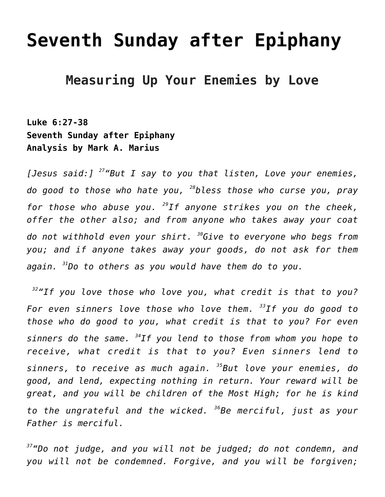# **[Seventh Sunday after Epiphany](https://crossings.org/text-study/seventh-sunday-after-epiphany-3/)**

## **Measuring Up Your Enemies by Love**

**Luke 6:27-38 Seventh Sunday after Epiphany Analysis by Mark A. Marius**

*[Jesus said:] <sup>27</sup>"But I say to you that listen, Love your enemies, do good to those who hate you, <sup>28</sup>bless those who curse you, pray for those who abuse you. <sup>29</sup>If anyone strikes you on the cheek, offer the other also; and from anyone who takes away your coat do not withhold even your shirt. <sup>30</sup>Give to everyone who begs from you; and if anyone takes away your goods, do not ask for them again. <sup>31</sup>Do to others as you would have them do to you.*

*<sup>32</sup>"If you love those who love you, what credit is that to you? For even sinners love those who love them. <sup>33</sup>If you do good to those who do good to you, what credit is that to you? For even sinners do the same. <sup>34</sup>If you lend to those from whom you hope to receive, what credit is that to you? Even sinners lend to sinners, to receive as much again. <sup>35</sup>But love your enemies, do good, and lend, expecting nothing in return. Your reward will be great, and you will be children of the Most High; for he is kind to the ungrateful and the wicked. <sup>36</sup>Be merciful, just as your Father is merciful.*

*<sup>37</sup>"Do not judge, and you will not be judged; do not condemn, and you will not be condemned. Forgive, and you will be forgiven;*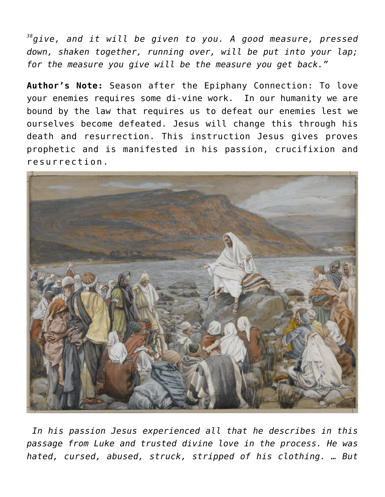*<sup>38</sup>give, and it will be given to you. A good measure, pressed down, shaken together, running over, will be put into your lap; for the measure you give will be the measure you get back."*

**Author's Note:** Season after the Epiphany Connection: To love your enemies requires some di-vine work. In our humanity we are bound by the law that requires us to defeat our enemies lest we ourselves become defeated. Jesus will change this through his death and resurrection. This instruction Jesus gives proves prophetic and is manifested in his passion, crucifixion and resurrection.



*In his passion Jesus experienced all that he describes in this passage from Luke and trusted divine love in the process. He was hated, cursed, abused, struck, stripped of his clothing. … But*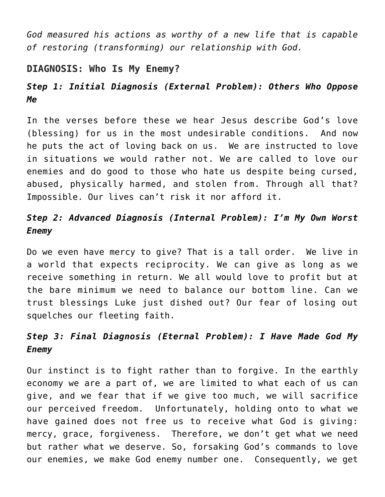*God measured his actions as worthy of a new life that is capable of restoring (transforming) our relationship with God.*

#### **DIAGNOSIS: Who Is My Enemy?**

## *Step 1: Initial Diagnosis (External Problem): Others Who Oppose Me*

In the verses before these we hear Jesus describe God's love (blessing) for us in the most undesirable conditions. And now he puts the act of loving back on us. We are instructed to love in situations we would rather not. We are called to love our enemies and do good to those who hate us despite being cursed, abused, physically harmed, and stolen from. Through all that? Impossible. Our lives can't risk it nor afford it.

### *Step 2: Advanced Diagnosis (Internal Problem): I'm My Own Worst Enemy*

Do we even have mercy to give? That is a tall order. We live in a world that expects reciprocity. We can give as long as we receive something in return. We all would love to profit but at the bare minimum we need to balance our bottom line. Can we trust blessings Luke just dished out? Our fear of losing out squelches our fleeting faith.

### *Step 3: Final Diagnosis (Eternal Problem): I Have Made God My Enemy*

Our instinct is to fight rather than to forgive. In the earthly economy we are a part of, we are limited to what each of us can give, and we fear that if we give too much, we will sacrifice our perceived freedom. Unfortunately, holding onto to what we have gained does not free us to receive what God is giving: mercy, grace, forgiveness. Therefore, we don't get what we need but rather what we deserve. So, forsaking God's commands to love our enemies, we make God enemy number one. Consequently, we get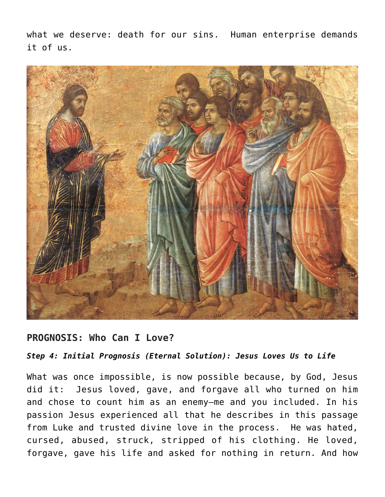what we deserve: death for our sins. Human enterprise demands it of us.



#### **PROGNOSIS: Who Can I Love?**

*Step 4: Initial Prognosis (Eternal Solution): Jesus Loves Us to Life*

What was once impossible, is now possible because, by God, Jesus did it: Jesus loved, gave, and forgave all who turned on him and chose to count him as an enemy—me and you included. In his passion Jesus experienced all that he describes in this passage from Luke and trusted divine love in the process. He was hated, cursed, abused, struck, stripped of his clothing. He loved, forgave, gave his life and asked for nothing in return. And how